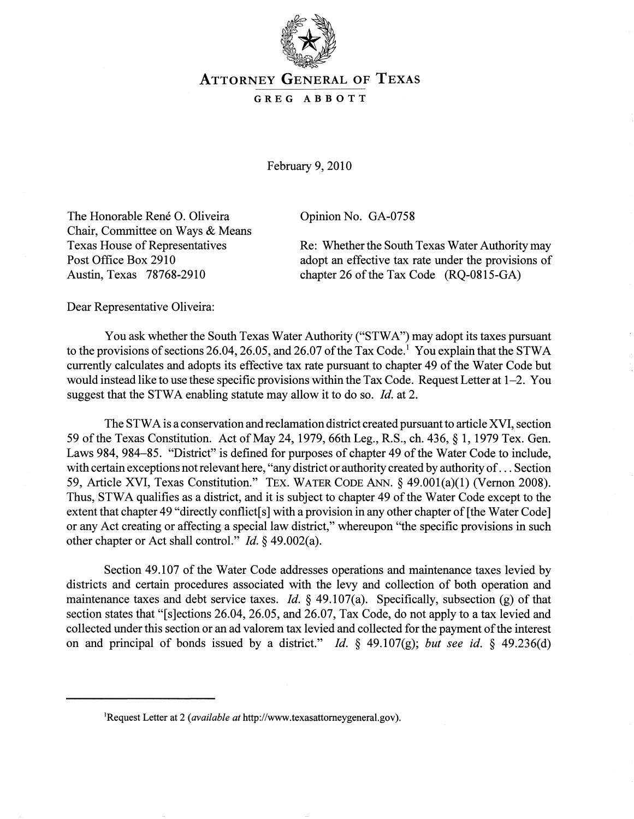

## ATTORNEY GENERAL OF TEXAS

## GREG ABBOTT

February 9, 2010

The Honorable René O. Oliveira Chair, Committee on Ways & Means Texas House of Representatives Post Office Box 2910 Austin, Texas 78768-2910

Opinion No. GA-0758

Re: Whether the South Texas Water Authority may adopt an effective tax rate under the provisions of chapter 26 of the Tax Code (RQ-0815-GA)

Dear Representative Oliveira:

You ask whether the South Texas Water Authority ("STWA") may adopt its taxes pursuant to the provisions of sections 26.04, 26.05, and 26.07 of the Tax Code.<sup>1</sup> You explain that the STWA currently calculates and adopts its effective tax rate pursuant to chapter 49 of the Water Code but would instead like to use these specific provisions within the Tax Code. Request Letter at 1-2. You suggest that the STWA enabling statute may allow it to do so. *Id.* at 2.

The STW A is a conservation and reclamation district created pursuant to article XVI, section 59 of the Texas Constitution. Act of May 24, 1979, 66th Leg., R.S., ch. 436, § 1, 1979 Tex. Gen. Laws 984, 984-85. "District" is defined for purposes of chapter 49 of the Water Code to include, with certain exceptions not relevant here, "any district or authority created by authority of ... Section 59, Article XVI, Texas Constitution." TEx. WATER CODE ANN. § 49.001(a)(1) (Vernon 2008). Thus, STWA qualifies as a district, and it is subject to chapter 49 of the Water Code except to the extent that chapter 49 "directly conflict[s] with a provision in any other chapter of [the Water Code] or any Act creating or affecting a special law district," whereupon "the specific provisions in such other chapter or Act shall control." *Id.* § 49.002(a).

Section 49.l07 of the Water Code addresses operations and maintenance taxes levied by districts and certain procedures associated with the levy and collection of both operation and maintenance taxes and debt service taxes. *Id.* § 49.107(a). Specifically, subsection (g) of that section states that "[s]ections 26.04, 26.05, and 26.07, Tax Code, do not apply to a tax levied and collected under this section or an ad valorem tax levied and collected for the payment of the interest on and principal of bonds issued by a district." *Id.* § 49.107(g); *but see id.* § 49.236(d)

lRequest Letter at 2 *(available at* http://www.texasattomeygeneral.gov).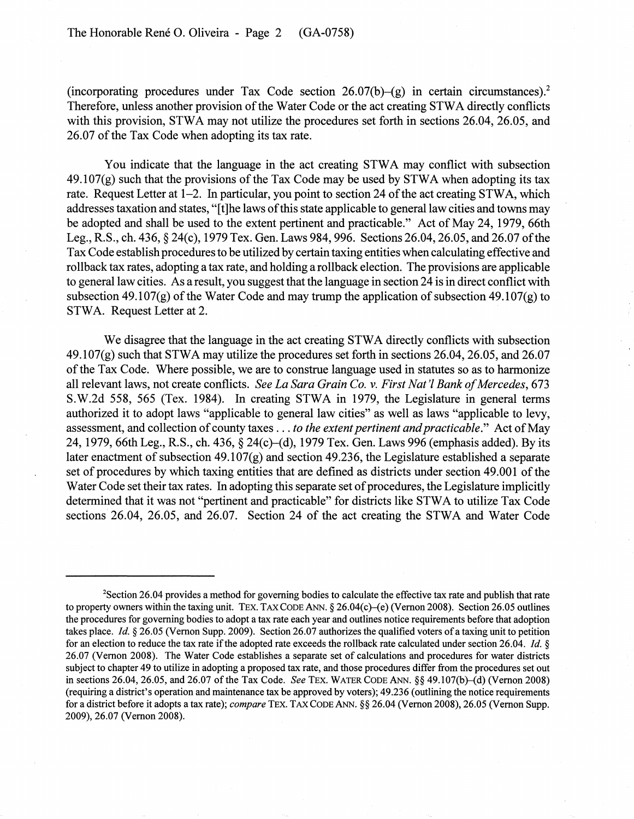(incorporating procedures under Tax Code section  $26.07(b)$ -(g) in certain circumstances).<sup>2</sup> Therefore, unless another provision of the Water Code or the act creating STWA directly conflicts with this provision, STWA may not utilize the procedures set forth in sections 26.04, 26.05, and 26.07 of the Tax Code when adopting its tax rate.

You indicate that the language in the act creating STWA may conflict with subsection  $49.107(g)$  such that the provisions of the Tax Code may be used by STWA when adopting its tax rate. Request Letter at 1-2. In particular, you point to section 24 of the act creating STW A, which addresses taxation and states, "[t]he laws of this state applicable to general law cities and towns may be adopted and shall be used to the extent pertinent and practicable." Act of May 24, 1979, 66th Leg., R.S., ch. 436, § 24(c), 1979 Tex. Gen. Laws 984, 996. Sections 26.04, 26.05, and 26.07 of the Tax Code establish procedures to be utilized by certain taxing entities when calculating effective and rollback tax rates, adopting a tax rate, and holding a rollback election. The provisions are applicable to general law cities. As a result, you suggest that the language in section 24 is in direct conflict with subsection 49.107(g) of the Water Code and may trump the application of subsection 49.107(g) to STWA. Request Letter at 2.

We disagree that the language in the act creating STWA directly conflicts with subsection 49.107(g) such that STWA may utilize the procedures set forth in sections 26.04, 26.05, and 26.07 of the Tax Code. Where possible, we are to construe language used in statutes so as to harmonize all relevant laws, not create conflicts. *See La Sara Grain Co.* v. *First Nat 'I Bank of Mercedes, 673*  S.W.2d 558, 565 (Tex. 1984). In creating STWA in 1979, the Legislature in general terms authorized it to adopt laws "applicable to general law cities" as well as laws "applicable to levy, assessment, and collection of county taxes ... *to the extent pertinent and practicable."* Act of May 24, 1979, 66th Leg., R.S., ch. 436, § 24(c)–(d), 1979 Tex. Gen. Laws 996 (emphasis added). By its later enactment of subsection 49.107(g) and section 49.236, the Legislature established a separate set of procedures by which taxing entities that are defined as districts under section 49.001 of the Water Code set their tax rates. In adopting this separate set of procedures, the Legislature implicitly determined that it was not "pertinent and practicable" for districts like STWA to utilize Tax Code sections 26.04, 26.05, and 26.07. Section 24 of the act creating the STWA and Water Code

<sup>&</sup>lt;sup>2</sup>Section 26.04 provides a method for governing bodies to calculate the effective tax rate and publish that rate to property owners within the taxing unit. TEX. TAX CODE ANN.  $\S 26.04(c)$  (Vernon 2008). Section 26.05 outlines the procedures for governing bodies to adopt a tax rate each year and outlines notice requirements before that adoption takes place. *Id.* § 26.05 (Vernon Supp. 2009). Section 26.07 authorizes the qualified voters of a taxing unit to petition for an election to reduce the tax rate if the adopted rate exceeds the rollback rate calculated under section 26.04. *Id.* § 26.07 (Vernon 2008). The Water Code establishes a separate set of calculations and procedures for water districts subject to chapter 49 to utilize in adopting a proposed tax rate, and those procedures differ from the procedures set out in seetions 26.04, 26.05, and 26.07 of the Tax Code. *See* TEX. WATER CODE ANN. §§ 49.107(b)-{d) (Vernon 2008) (requiring a district's operation and maintenance tax be approved by voters); 49.236 (outlining the notice requirements for a district before it adopts a tax rate); *compare* TEX. TAX CODE ANN. §§ 26.04 (Vernon 2008), 26.05 (Vernon SUpp. 2009),26.07 (Vernon 2008).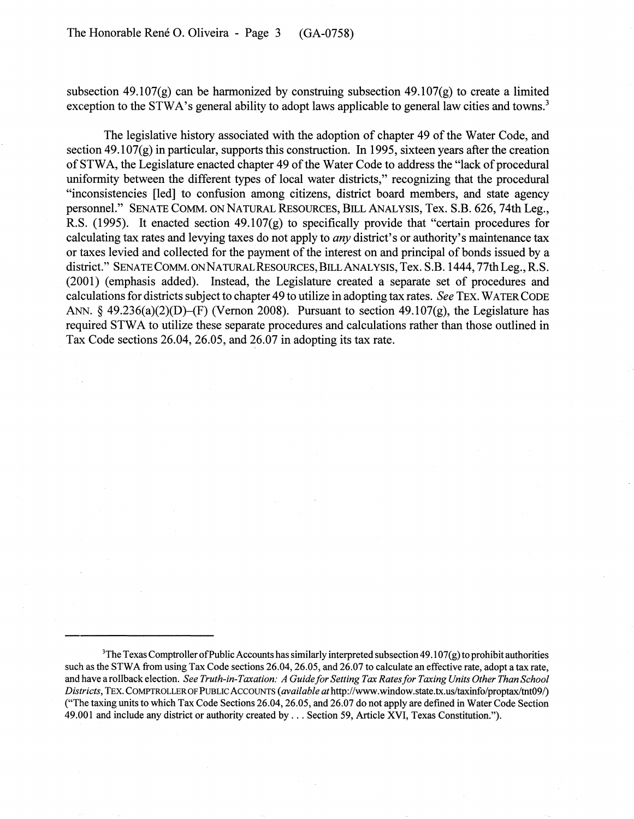subsection 49.107(g) can be harmonized by construing subsection 49.107(g) to create a limited exception to the STWA's general ability to adopt laws applicable to general law cities and towns.<sup>3</sup>

The legislative history associated with the adoption of chapter 49 of the Water Code, and section 49.107 $(g)$  in particular, supports this construction. In 1995, sixteen years after the creation of STW A, the Legislature enacted chapter 49 of the Water Code to address the "lack of procedural uniformity between the different types of local water districts," recognizing that the procedural "inconsistencies [led] to confusion among citizens, district board members, and state agency personnel." SENATE COMM. ON NATURAL RESOURCES, BILL ANALYSIS, Tex. S.B. 626, 74th Leg., R.S. (1995). It enacted section 49.107(g) to specifically provide that "certain procedures for calculating tax rates and levying taxes do not apply to *any* district's or authority's maintenance tax or taxes levied and collected for the payment of the interest on and principal of bonds issued by a district." SENATE COMM. ON NATURAL RESOURCES, BILL ANALYSIS, Tex. S.B. 1444, 77th Leg., R.S. (2001) (emphasis added). Instead, the Legislature created a separate set of procedures and calculations for districts subject to chapter 49 to utilize in adopting tax rates. *See* TEx. WATER CODE ANN.  $\S$  49.236(a)(2)(D)–(F) (Vernon 2008). Pursuant to section 49.107(g), the Legislature has required STWA to utilize these separate procedures and calculations rather than those outlined in Tax Code sections  $26.04$ ,  $26.05$ , and  $26.07$  in adopting its tax rate.

 $3$ The Texas Comptroller of Public Accounts has similarly interpreted subsection 49.107(g) to prohibit authorities such as the STWA from using Tax Code sections 26.04, 26.05, and 26.07 to calculate an effective rate, adopt a tax rate, and have a rollback election. *See Truth-in-Taxation: A Guide for Setting Tax Rates for Taxing Units Other Than School Districts,* TEx. COMPTROLLER OF PUBLIC ACCOUNTS *(available* athttp://www.window.state.tx.usJtaxinfo/proptaxitnt091) ("The taxing units to which Tax Code Sections 26.04,26.05, and 26.07 do not apply are defined in Water Code Section 49.001 and include any district or authority created by ... Section 59, Article XVI, Texas Constitution.").